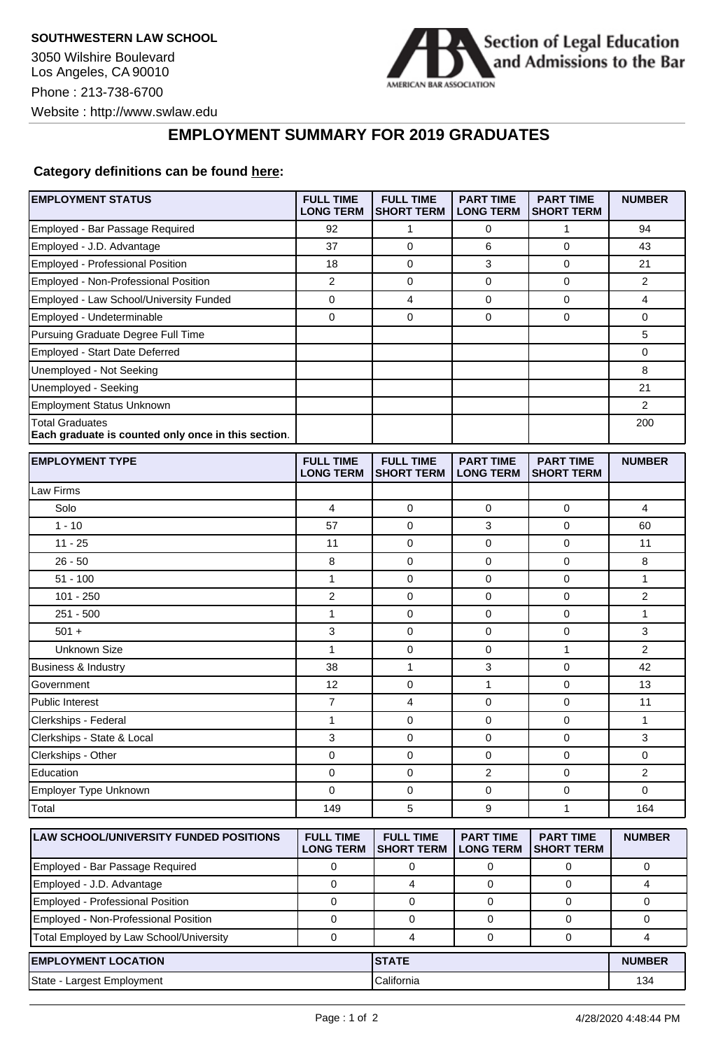

## **EMPLOYMENT SUMMARY FOR 2019 GRADUATES**

## **Category definitions can be found [here:](https://www.americanbar.org/content/dam/aba/administrative/legal_education_and_admissions_to_the_bar/Questionnaires/2020employmentquestionnaire/2020-aba-employment-protocols-class-of-2019.pdf)**

| <b>EMPLOYMENT STATUS</b>                                                      | <b>FULL TIME</b><br><b>LONG TERM</b> | <b>FULL TIME</b><br><b>SHORT TERM</b> | <b>PART TIME</b><br><b>LONG TERM</b> | <b>PART TIME</b><br><b>SHORT TERM</b> | <b>NUMBER</b>  |
|-------------------------------------------------------------------------------|--------------------------------------|---------------------------------------|--------------------------------------|---------------------------------------|----------------|
| Employed - Bar Passage Required                                               | 92                                   | 1                                     | 0                                    | 1                                     | 94             |
| Employed - J.D. Advantage                                                     | 37                                   | $\mathbf 0$                           | 6                                    | $\mathbf 0$                           | 43             |
| Employed - Professional Position                                              | 18                                   | $\mathbf 0$                           | 3                                    | $\mathbf 0$                           | 21             |
| Employed - Non-Professional Position                                          | $\overline{2}$                       | 0                                     | 0                                    | 0                                     | 2              |
| Employed - Law School/University Funded                                       | 0                                    | $\overline{4}$                        | $\mathbf 0$                          | $\mathbf 0$                           | 4              |
| Employed - Undeterminable                                                     | 0                                    | $\mathbf 0$                           | 0                                    | $\mathbf 0$                           | 0              |
| Pursuing Graduate Degree Full Time                                            |                                      |                                       |                                      |                                       | 5              |
| Employed - Start Date Deferred                                                |                                      |                                       |                                      |                                       | 0              |
| Unemployed - Not Seeking                                                      |                                      |                                       |                                      |                                       | 8              |
| Unemployed - Seeking                                                          |                                      |                                       |                                      |                                       | 21             |
| <b>Employment Status Unknown</b>                                              |                                      |                                       |                                      |                                       | 2              |
| <b>Total Graduates</b><br>Each graduate is counted only once in this section. |                                      |                                       |                                      |                                       | 200            |
| <b>EMPLOYMENT TYPE</b>                                                        | <b>FULL TIME</b><br><b>LONG TERM</b> | <b>FULL TIME</b><br><b>SHORT TERM</b> | <b>PART TIME</b><br><b>LONG TERM</b> | <b>PART TIME</b><br><b>SHORT TERM</b> | <b>NUMBER</b>  |
| Law Firms                                                                     |                                      |                                       |                                      |                                       |                |
| Solo                                                                          | 4                                    | $\mathbf 0$                           | 0                                    | $\mathbf 0$                           | 4              |
| $1 - 10$                                                                      | 57                                   | 0                                     | 3                                    | 0                                     | 60             |
| $11 - 25$                                                                     | 11                                   | 0                                     | 0                                    | 0                                     | 11             |
| $26 - 50$                                                                     | 8                                    | $\mathbf 0$                           | 0                                    | $\mathbf 0$                           | 8              |
| $51 - 100$                                                                    | 1                                    | 0                                     | 0                                    | $\mathbf 0$                           | 1              |
| $101 - 250$                                                                   | $\overline{2}$                       | $\mathbf 0$                           | 0                                    | $\mathbf 0$                           | $\overline{2}$ |
| $251 - 500$                                                                   | 1                                    | 0                                     | 0                                    | $\mathbf 0$                           | 1              |
| $501 +$                                                                       | 3                                    | 0                                     | 0                                    | 0                                     | 3              |
| Unknown Size                                                                  | $\mathbf{1}$                         | $\mathbf 0$                           | 0                                    | $\mathbf{1}$                          | $\overline{2}$ |
| <b>Business &amp; Industry</b>                                                | 38                                   | $\mathbf{1}$                          | 3                                    | $\mathbf 0$                           | 42             |
| Government                                                                    | 12                                   | $\mathbf 0$                           | $\mathbf{1}$                         | $\mathbf 0$                           | 13             |
| <b>Public Interest</b>                                                        | $\overline{7}$                       | 4                                     | 0                                    | $\mathbf 0$                           | 11             |
| Clerkships - Federal                                                          | 1                                    | $\mathbf 0$                           | 0                                    | $\mathbf 0$                           | $\mathbf{1}$   |
| Clerkships - State & Local                                                    | 3                                    | 0                                     | 0                                    | $\mathbf 0$                           | 3              |
| Clerkships - Other                                                            | 0                                    | 0                                     | 0                                    | 0                                     | 0              |
| Education                                                                     | 0                                    | 0                                     | 2                                    | $\mathbf 0$                           | 2              |
| Employer Type Unknown                                                         | 0                                    | 0                                     | 0                                    | 0                                     | 0              |
| Total                                                                         | 149                                  | 5                                     | 9                                    | $\mathbf{1}$                          | 164            |
| <b>LAW SCHOOL/UNIVERSITY FUNDED POSITIONS</b>                                 | <b>FULL TIME</b><br><b>LONG TERM</b> | <b>FULL TIME</b><br><b>SHORT TERM</b> | <b>PART TIME</b><br><b>LONG TERM</b> | <b>PART TIME</b><br><b>SHORT TERM</b> | <b>NUMBER</b>  |
| Employed - Bar Passage Required                                               | 0                                    | 0                                     | 0                                    | 0                                     | 0              |
| Employed - J.D. Advantage                                                     | $\mathbf 0$                          | $\overline{4}$                        | $\mathbf 0$                          | $\mathbf 0$                           | 4              |
| Employed - Professional Position                                              | $\mathbf 0$                          | $\mathbf 0$                           | 0                                    | 0                                     | 0              |
| Employed - Non-Professional Position                                          | $\mathbf 0$                          | 0                                     | 0                                    | 0                                     | 0              |
| Total Employed by Law School/University                                       | $\pmb{0}$                            | 4                                     | $\mathbf 0$                          | 0                                     | 4              |
| <b>EMPLOYMENT LOCATION</b>                                                    |                                      |                                       | <b>STATE</b>                         |                                       |                |
| State - Largest Employment                                                    |                                      | California                            |                                      |                                       | 134            |
|                                                                               |                                      |                                       |                                      |                                       |                |